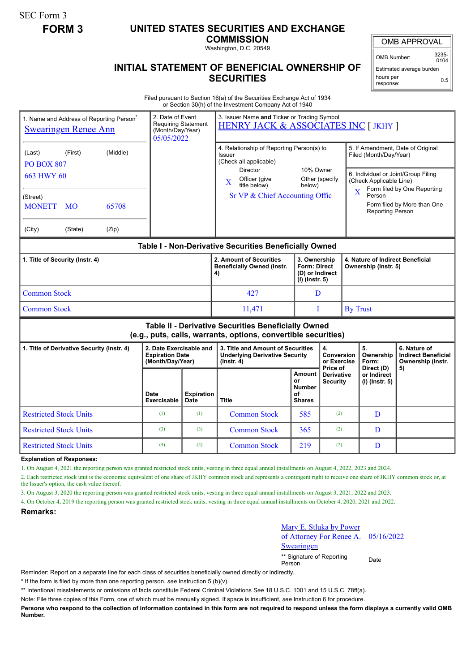SEC Form 3

## **FORM 3 UNITED STATES SECURITIES AND EXCHANGE**

**COMMISSION**

Washington, D.C. 20549

## OMB APPROVAL

OMB Number: 3235-  $0104$ 

Estimated average burden hours per response: 0.5

## **INITIAL STATEMENT OF BENEFICIAL OWNERSHIP OF SECURITIES**

Filed pursuant to Section 16(a) of the Securities Exchange Act of 1934 or Section 30(h) of the Investment Company Act of 1940

| 1. Name and Address of Reporting Person <sup>®</sup><br><b>Swearingen Renee Ann</b>                                   |                                                                       | 3. Issuer Name and Ticker or Trading Symbol<br>2. Date of Event<br><b>Requiring Statement</b><br>HENRY JACK & ASSOCIATES INC [ JKHY ]<br>(Month/Day/Year)<br>05/05/2022 |                                                                                                                                                  |                                                             |                                                        |  |                                                                                                                               |                                                                 |  |
|-----------------------------------------------------------------------------------------------------------------------|-----------------------------------------------------------------------|-------------------------------------------------------------------------------------------------------------------------------------------------------------------------|--------------------------------------------------------------------------------------------------------------------------------------------------|-------------------------------------------------------------|--------------------------------------------------------|--|-------------------------------------------------------------------------------------------------------------------------------|-----------------------------------------------------------------|--|
| (Middle)<br>(Last)<br>(First)<br><b>PO BOX 807</b><br>663 HWY 60                                                      |                                                                       |                                                                                                                                                                         | 4. Relationship of Reporting Person(s) to<br>Issuer<br>(Check all applicable)<br>10% Owner<br><b>Director</b><br>Officer (give<br>Other (specify |                                                             |                                                        |  | 5. If Amendment, Date of Original<br>Filed (Month/Day/Year)<br>6. Individual or Joint/Group Filing<br>(Check Applicable Line) |                                                                 |  |
| (Street)<br><b>MONETT</b><br>65708<br><b>MO</b><br>(City)<br>(State)<br>(Zip)                                         |                                                                       |                                                                                                                                                                         | $\mathbf X$<br>title below)<br>below)<br>Sr VP & Chief Accounting Offic                                                                          |                                                             |                                                        |  | Form filed by One Reporting<br>$\overline{\mathbf{X}}$<br>Person<br>Form filed by More than One<br>Reporting Person           |                                                                 |  |
| Table I - Non-Derivative Securities Beneficially Owned                                                                |                                                                       |                                                                                                                                                                         |                                                                                                                                                  |                                                             |                                                        |  |                                                                                                                               |                                                                 |  |
| 1. Title of Security (Instr. 4)                                                                                       |                                                                       |                                                                                                                                                                         | 2. Amount of Securities<br><b>Beneficially Owned (Instr.</b><br>4)                                                                               | $(I)$ (lnstr. 5)                                            | 3. Ownership<br><b>Form: Direct</b><br>(D) or Indirect |  | 4. Nature of Indirect Beneficial<br>Ownership (Instr. 5)                                                                      |                                                                 |  |
| <b>Common Stock</b>                                                                                                   |                                                                       |                                                                                                                                                                         | 427                                                                                                                                              | D                                                           |                                                        |  |                                                                                                                               |                                                                 |  |
| <b>Common Stock</b>                                                                                                   |                                                                       |                                                                                                                                                                         | 11,471                                                                                                                                           | T                                                           | <b>By Trust</b>                                        |  |                                                                                                                               |                                                                 |  |
| Table II - Derivative Securities Beneficially Owned<br>(e.g., puts, calls, warrants, options, convertible securities) |                                                                       |                                                                                                                                                                         |                                                                                                                                                  |                                                             |                                                        |  |                                                                                                                               |                                                                 |  |
| 1. Title of Derivative Security (Instr. 4)                                                                            | 2. Date Exercisable and<br><b>Expiration Date</b><br>(Month/Day/Year) |                                                                                                                                                                         | 3. Title and Amount of Securities<br><b>Underlying Derivative Security</b><br>(Instr. 4)                                                         | 4.<br>Conversion<br>or Exercise                             |                                                        |  | 5.<br>Ownership<br>Form:                                                                                                      | 6. Nature of<br><b>Indirect Beneficial</b><br>Ownership (Instr. |  |
|                                                                                                                       | Date<br><b>Exercisable</b>                                            | <b>Expiration</b><br><b>Date</b>                                                                                                                                        | Title                                                                                                                                            | <b>Amount</b><br>or<br><b>Number</b><br>οf<br><b>Shares</b> | Price of<br><b>Derivative</b><br>Security              |  | Direct (D)<br>or Indirect<br>(I) (Instr. 5)                                                                                   | 5)                                                              |  |
| <b>Restricted Stock Units</b>                                                                                         | (1)                                                                   | (1)                                                                                                                                                                     | <b>Common Stock</b>                                                                                                                              | 585                                                         | (2)                                                    |  | D                                                                                                                             |                                                                 |  |
| <b>Restricted Stock Units</b>                                                                                         | (3)                                                                   | (3)                                                                                                                                                                     | <b>Common Stock</b>                                                                                                                              | 365                                                         | (2)                                                    |  | D                                                                                                                             |                                                                 |  |
| <b>Restricted Stock Units</b>                                                                                         | (4)                                                                   | (4)                                                                                                                                                                     | <b>Common Stock</b>                                                                                                                              | 219                                                         | (2)                                                    |  | D                                                                                                                             |                                                                 |  |

**Explanation of Responses:**

1. On August 4, 2021 the reporting person was granted restricted stock units, vesting in three equal annual installments on August 4, 2022, 2023 and 2024.

2. Each restricted stock unit is the economic equivalent of one share of JKHY common stock and represents a contingent right to receive one share of JKHY common stock or, at the Issuer's option, the cash value thereof.

3. On August 3, 2020 the reporting person was granted restricted stock units, vesting in three equal annual installments on August 3, 2021, 2022 and 2023.

4. On October 4, 2019 the reporting person was granted restricted stock units, vesting in three equal annual installments on October 4, 2020, 2021 and 2022.

## **Remarks:**

Mary E. Stluka by Power **Attorney For Renee** 

05/16/2022

ringen

\*\* Signature of Reporting <sub>Date</sub><br>Person

Reminder: Report on a separate line for each class of securities beneficially owned directly or indirectly.

\* If the form is filed by more than one reporting person, *see* Instruction 5 (b)(v).

\*\* Intentional misstatements or omissions of facts constitute Federal Criminal Violations *See* 18 U.S.C. 1001 and 15 U.S.C. 78ff(a).

Note: File three copies of this Form, one of which must be manually signed. If space is insufficient, *see* Instruction 6 for procedure.

**Persons who respond to the collection of information contained in this form are not required to respond unless the form displays a currently valid OMB Number.**